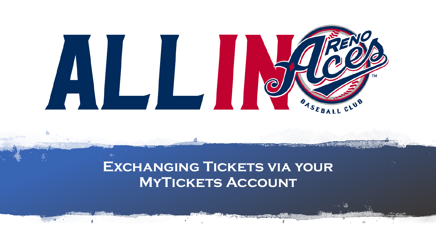

# **EXCHANGING TICKETS VIA YOUR MYTICKETS ACCOUNT**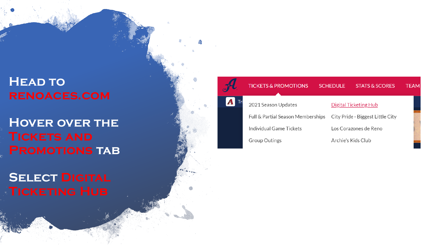# **Head to renoaces.com**

**Hover over the Promotions tab**

**SELECT DIGITAL** 

### 2021 Season Updates **Digital Ticketing Hub** Full & Partial Season Memberships City Pride - Biggest Little City Individual Game Tickets Los Corazones de Reno **Group Outings** Archie's Kids Club

**SCHEDULE** 

**STATS & SCORES** 

**TEAM** 

**TICKETS & PROMOTIONS** 

 $\boldsymbol{\Lambda}$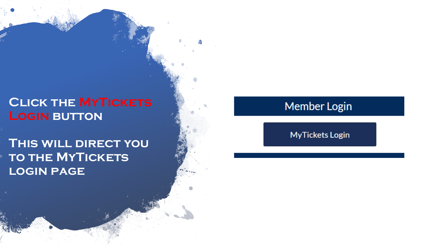# **Click the MyTickets Login button**

**This will direct you TO THE MYTICKETS login page**

## **Member Login**

**MyTickets Login**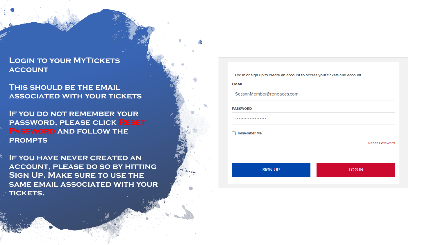### **Login to your MyTickets account**

**This should be the email associated with your tickets**

**If you do not remember your password, please click Reset Password and follow the prompts**

**If you have never created an account, please do so by hitting Sign Up. Make sure to use the same email associated with your tickets.**

Log in or sign up to create an account to access your tickets and account.

**EMAIL** 

SeasonMember@renoaces.com

**PASSWORD** 

..................

 $\Box$  Remember Me

Reset Password

**SIGN UP LOG IN**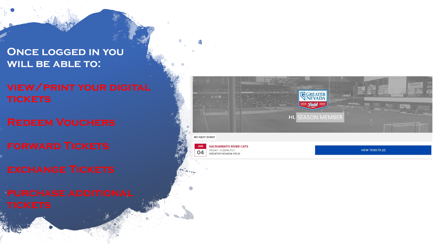### **Once logged in you will be able to:**

## **view/print your digital tickets**

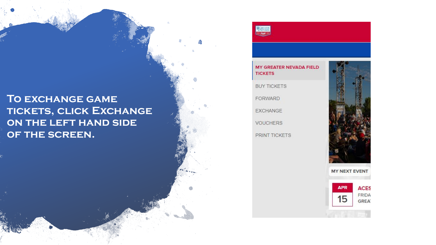### TO EXCHANGE GAME TICKETS, CLICK EXCHANGE ON THE LEFT HAND SIDE OF THE SCREEN.

 $\frac{\sqrt{R_{\rm WMB}}}{R_{\rm WMB}}$ 

#### MY GREATER NEVADA FIELD **TICKETS**

**BUY TICKETS** 

FORWARD

EXCHANGE

**VOUCHERS** 

PRINT TICKETS



**MY NEXT EVENT** 

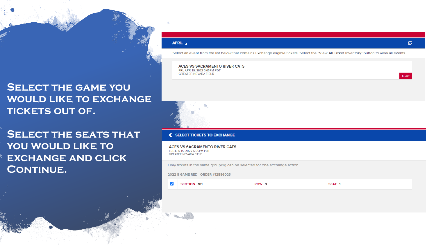### **SELECT THE GAME YOU WOULD LIKE TO EXCHANGE** TICKETS OUT OF.

**SELECT THE SEATS THAT** YOU WOULD LIKE TO **EXCHANGE AND CLICK CONTINUE.** 

#### APRIL 4

Select an event from the list below that contains Exchange eligible tickets. Select the "View All Ticket Inventory" button to view all events.

**ACES VS SACRAMENTO RIVER CATS** FRI, APR 15, 2022 6:05PM PDT GREATER NEVADA FIFLD

#### SELECT TICKETS TO EXCHANGE

**ACES VS SACRAMENTO RIVER CATS** FRI, APR 15, 2022 6:05PM PDT **GREATER NEVADA FIELD** 

Only tickets in the same grouping can be selected for one exchange action.

ROW<sub>9</sub>

2022 8 GAME RED - ORDER #12886025

 $\blacktriangledown$ **SECTION 101**  SEAT<sub>1</sub>

ø

1 Seat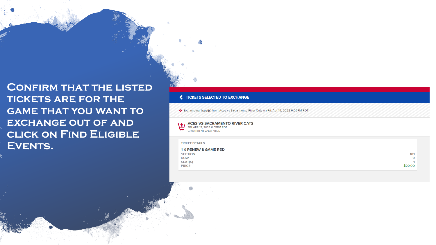**CONFIRM THAT THE LISTED TICKETS ARE FOR THE GAME THAT YOU WANT TO EXCHANGE OUT OF AND CLICK ON FIND ELIGIBLE** EVENTS.

#### TICKETS SELECTED TO EXCHANGE

Exchanging 1 seat(s) from Aces vs Sacramento River Cats on Fri, Apr 15, 2022 6:05PM PDT

ACES VS SACRAMENTO RIVER CATS<br>FRI, APR 15, 2022 6:05PM PDT GREATER NEVADA FIELD

**TICKET DETAILS** 

| <b>1 X RENEW 8 GAME RED</b> |          |
|-----------------------------|----------|
| <b>SECTION</b>              | 101      |
| <b>ROW</b>                  | 9        |
| <b>SEAT(S)</b>              |          |
| <b>PRICE</b>                | -\$20.00 |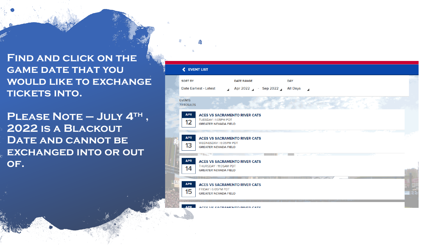**Find and click on the GAME DATE THAT YOU would like to exchange tickets into.** 

**Please Note – July 4th , 2022 is a Blackout DATE AND CANNOT BE exchanged into or out of.** 

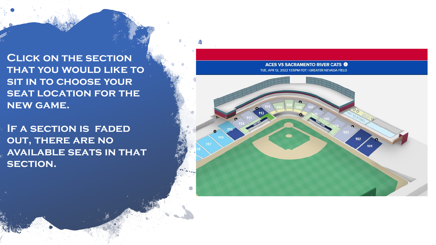**Click on the section that you would like to sit in to choose your SEAT LOCATION FOR THE new game.** 

**If a section is faded out, there are no available seats in that SECTION.** 

**ACES VS SACRAMENTO RIVER CATS O** TUE, APR 12, 2022 1:05PM PDT I GREATER NEVADA FIELD

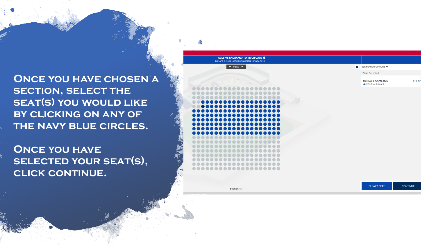**ONCE YOU HAVE CHOSEN A SECTION, SELECT THE SEAT(S) YOU WOULD LIKE by clicking on any of the navy blue circles.** 

**Once you have SELECTED YOUR SEAT(S), CLICK CONTINUE.** 



**Section 117** 

**CLEAR 1 SEAT CONTINU**